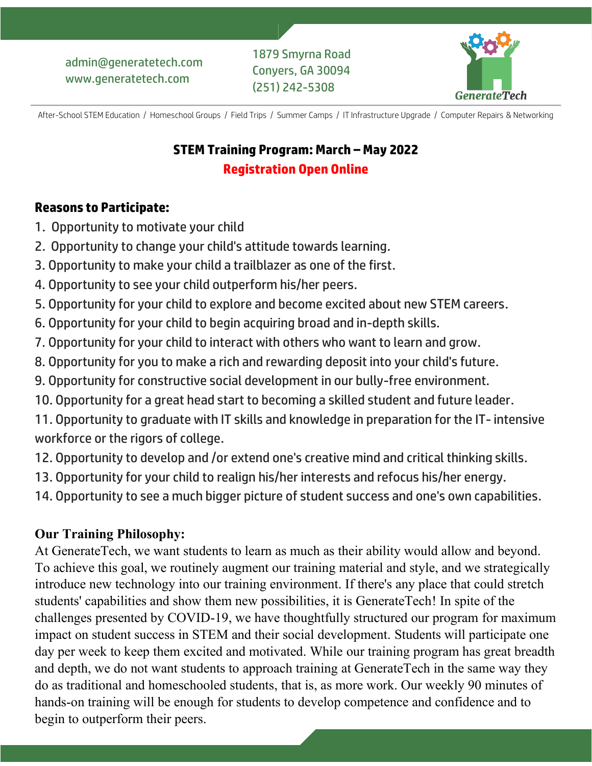

After-School STEM Education / Homeschool Groups / Field Trips / Summer Camps / IT Infrastructure Upgrade / Computer Repairs & Networking

# **STEM Training Program: March – May 2022 Registration Open Online**

### **Reasons to Participate:**

- 1. Opportunity to motivate your child
- 2. Opportunity to change your child's attitude towards learning.
- 3. Opportunity to make your child a trailblazer as one of the first.
- 4. Opportunity to see your child outperform his/her peers.
- 5. Opportunity for your child to explore and become excited about new STEM careers.
- 6. Opportunity for your child to begin acquiring broad and in-depth skills.
- 7. Opportunity for your child to interact with others who want to learn and grow.
- 8. Opportunity for you to make a rich and rewarding deposit into your child's future.
- 9. Opportunity for constructive social development in our bully-free environment.
- 10. Opportunity for a great head start to becoming a skilled student and future leader.
- 11. Opportunity to graduate with IT skills and knowledge in preparation for the IT- intensive workforce or the rigors of college.
- 12. Opportunity to develop and /or extend one's creative mind and critical thinking skills.
- 13. Opportunity for your child to realign his/her interests and refocus his/her energy.
- 14. Opportunity to see a much bigger picture of student success and one's own capabilities.

# **Our Training Philosophy:**

At GenerateTech, we want students to learn as much as their ability would allow and beyond. To achieve this goal, we routinely augment our training material and style, and we strategically introduce new technology into our training environment. If there's any place that could stretch students' capabilities and show them new possibilities, it is GenerateTech! In spite of the challenges presented by COVID-19, we have thoughtfully structured our program for maximum impact on student success in STEM and their social development. Students will participate one day per week to keep them excited and motivated. While our training program has great breadth and depth, we do not want students to approach training at GenerateTech in the same way they do as traditional and homeschooled students, that is, as more work. Our weekly 90 minutes of hands-on training will be enough for students to develop competence and confidence and to begin to outperform their peers.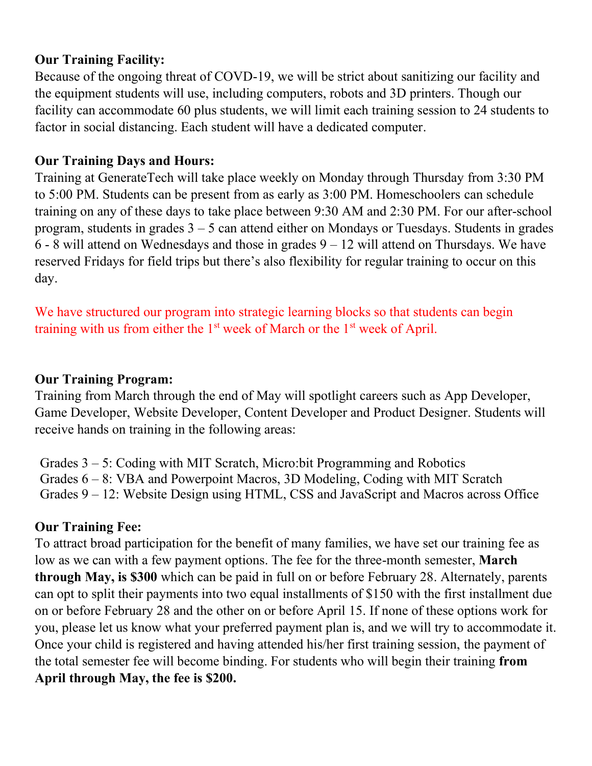## **Our Training Facility:**

Because of the ongoing threat of COVD-19, we will be strict about sanitizing our facility and the equipment students will use, including computers, robots and 3D printers. Though our facility can accommodate 60 plus students, we will limit each training session to 24 students to factor in social distancing. Each student will have a dedicated computer.

#### **Our Training Days and Hours:**

Training at GenerateTech will take place weekly on Monday through Thursday from 3:30 PM to 5:00 PM. Students can be present from as early as 3:00 PM. Homeschoolers can schedule training on any of these days to take place between 9:30 AM and 2:30 PM. For our after-school program, students in grades  $3 - 5$  can attend either on Mondays or Tuesdays. Students in grades  $6 - 8$  will attend on Wednesdays and those in grades  $9 - 12$  will attend on Thursdays. We have reserved Fridays for field trips but there's also flexibility for regular training to occur on this day.

We have structured our program into strategic learning blocks so that students can begin training with us from either the  $1<sup>st</sup>$  week of March or the  $1<sup>st</sup>$  week of April.

### **Our Training Program:**

Training from March through the end of May will spotlight careers such as App Developer, Game Developer, Website Developer, Content Developer and Product Designer. Students will receive hands on training in the following areas:

Grades 3 – 5: Coding with MIT Scratch, Micro:bit Programming and Robotics Grades 6 – 8: VBA and Powerpoint Macros, 3D Modeling, Coding with MIT Scratch Grades 9 – 12: Website Design using HTML, CSS and JavaScript and Macros across Office

## **Our Training Fee:**

To attract broad participation for the benefit of many families, we have set our training fee as low as we can with a few payment options. The fee for the three-month semester, **March through May, is \$300** which can be paid in full on or before February 28. Alternately, parents can opt to split their payments into two equal installments of \$150 with the first installment due on or before February 28 and the other on or before April 15. If none of these options work for you, please let us know what your preferred payment plan is, and we will try to accommodate it. Once your child is registered and having attended his/her first training session, the payment of the total semester fee will become binding. For students who will begin their training **from April through May, the fee is \$200.**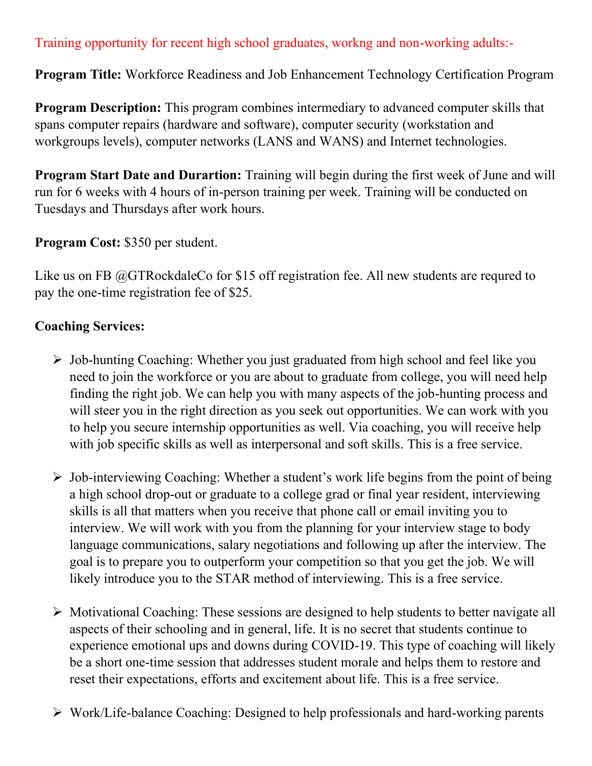### Training opportunity for recent high school graduates, workng and non-working adults:-

**Program Title:** Workforce Readiness and Job Enhancement Technology Certification Program

**Program Description:** This program combines intermediary to advanced computer skills that spans computer repairs (hardware and software), computer security (workstation and workgroups levels), computer networks (LANS and WANS) and Internet technologies.

**Program Start Date and Durartion:** Training will begin during the first week of June and will run for 6 weeks with 4 hours of in-person training per week. Training will be conducted on Tuesdays and Thursdays after work hours.

**Program Cost:** \$350 per student.

Like us on FB @GTRockdaleCo for \$15 off registration fee. All new students are requred to pay the one-time registration fee of \$25.

#### **Coaching Services:**

- ➢ Job-hunting Coaching: Whether you just graduated from high school and feel like you need to join the workforce or you are about to graduate from college, you will need help finding the right job. We can help you with many aspects of the job-hunting process and will steer you in the right direction as you seek out opportunities. We can work with you to help you secure internship opportunities as well. Via coaching, you will receive help with job specific skills as well as interpersonal and soft skills. This is a free service.
- ➢ Job-interviewing Coaching: Whether a student's work life begins from the point of being a high school drop-out or graduate to a college grad or final year resident, interviewing skills is all that matters when you receive that phone call or email inviting you to interview. We will work with you from the planning for your interview stage to body language communications, salary negotiations and following up after the interview. The goal is to prepare you to outperform your competition so that you get the job. We will likely introduce you to the STAR method of interviewing. This is a free service.
- ➢ Motivational Coaching: These sessions are designed to help students to better navigate all aspects of their schooling and in general, life. It is no secret that students continue to experience emotional ups and downs during COVID-19. This type of coaching will likely be a short one-time session that addresses student morale and helps them to restore and reset their expectations, efforts and excitement about life. This is a free service.
- ➢ Work/Life-balance Coaching: Designed to help professionals and hard-working parents